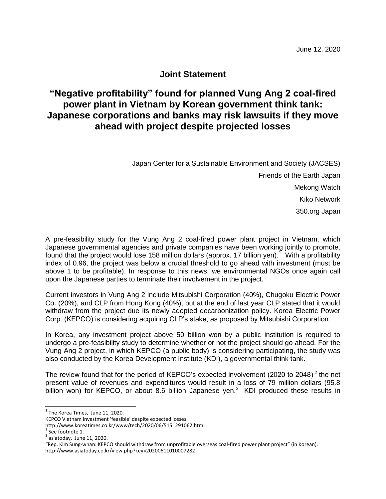## **Joint Statement**

## **"Negative profitability" found for planned Vung Ang 2 coal-fired power plant in Vietnam by Korean government think tank: Japanese corporations and banks may risk lawsuits if they move ahead with project despite projected losses**

Japan Center for a Sustainable Environment and Society (JACSES) Friends of the Earth Japan Mekong Watch Kiko Network 350.org Japan

A pre-feasibility study for the Vung Ang 2 coal-fired power plant project in Vietnam, which Japanese governmental agencies and private companies have been working jointly to promote, found that the project would lose 158 million dollars (approx. 17 billion yen).<sup>1</sup> With a profitability index of 0.96, the project was below a crucial threshold to go ahead with investment (must be above 1 to be profitable). In response to this news, we environmental NGOs once again call upon the Japanese parties to terminate their involvement in the project.

Current investors in Vung Ang 2 include Mitsubishi Corporation (40%), Chugoku Electric Power Co. (20%), and CLP from Hong Kong (40%), but at the end of last year CLP stated that it would withdraw from the project due its newly adopted decarbonization policy. Korea Electric Power Corp. (KEPCO) is considering acquiring CLP's stake, as proposed by Mitsubishi Corporation.

In Korea, any investment project above 50 billion won by a public institution is required to undergo a pre-feasibility study to determine whether or not the project should go ahead. For the Vung Ang 2 project, in which KEPCO (a public body) is considering participating, the study was also conducted by the Korea Development Institute (KDI), a governmental think tank.

The review found that for the period of KEPCO's expected involvement (2020 to 2048)<sup>2</sup> the net present value of revenues and expenditures would result in a loss of 79 million dollars (95.8 billion won) for KEPCO, or about 8.6 billion Japanese yen.<sup>3</sup> KDI produced these results in

 1 The Korea Times, June 11, 2020.

KEPCO Vietnam investment 'feasible' despite expected losses

http://www.koreatimes.co.kr/www/tech/2020/06/515\_291062.html

 $2$  See footnote 1.

 $3$  asiatoday, June 11, 2020.

<sup>&</sup>quot;Rep. Kim Sung-whan: KEPCO should withdraw from unprofitable overseas coal-fired power plant project" (in Korean). http://www.asiatoday.co.kr/view.php?key=20200611010007282